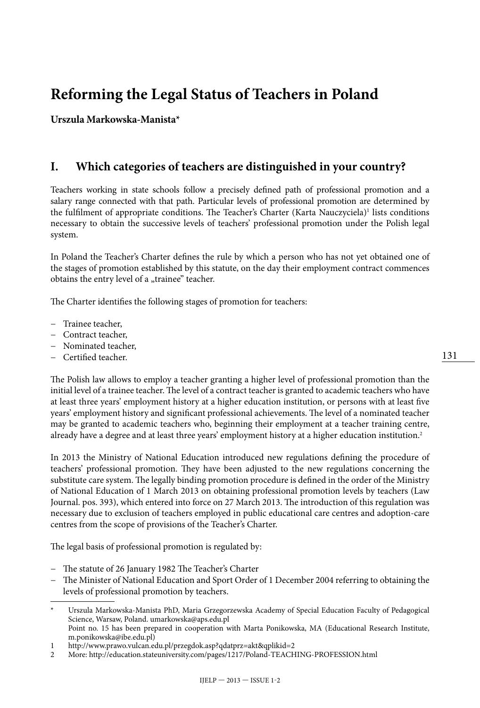# **Reforming the Legal Status of Teachers in Poland**

**Urszula Markowska-Manista\***

#### **I. Which categories of teachers are distinguished in your country?**

Teachers working in state schools follow a precisely defined path of professional promotion and a salary range connected with that path. Particular levels of professional promotion are determined by the fulfilment of appropriate conditions. The Teacher's Charter (Karta Nauczyciela)<sup>1</sup> lists conditions necessary to obtain the successive levels of teachers' professional promotion under the Polish legal system.

In Poland the Teacher's Charter defines the rule by which a person who has not yet obtained one of the stages of promotion established by this statute, on the day their employment contract commences obtains the entry level of a "trainee" teacher.

The Charter identifies the following stages of promotion for teachers:

- − Trainee teacher,
- − Contract teacher,
- − Nominated teacher,
- − Certified teacher.

The Polish law allows to employ a teacher granting a higher level of professional promotion than the initial level of a trainee teacher. The level of a contract teacher is granted to academic teachers who have at least three years' employment history at a higher education institution, or persons with at least five years' employment history and significant professional achievements. The level of a nominated teacher may be granted to academic teachers who, beginning their employment at a teacher training centre, already have a degree and at least three years' employment history at a higher education institution.2

In 2013 the Ministry of National Education introduced new regulations defining the procedure of teachers' professional promotion. They have been adjusted to the new regulations concerning the substitute care system. The legally binding promotion procedure is defined in the order of the Ministry of National Education of 1 March 2013 on obtaining professional promotion levels by teachers (Law Journal. pos. 393), which entered into force on 27 March 2013. The introduction of this regulation was necessary due to exclusion of teachers employed in public educational care centres and adoption-care centres from the scope of provisions of the Teacher's Charter.

The legal basis of professional promotion is regulated by:

- − The statute of 26 January 1982 The Teacher's Charter
- − The Minister of National Education and Sport Order of 1 December 2004 referring to obtaining the levels of professional promotion by teachers.

<sup>\*</sup> Urszula Markowska-Manista PhD, Maria Grzegorzewska Academy of Special Education Faculty of Pedagogical Science, Warsaw, Poland. umarkowska@aps.edu.pl Point no. 15 has been prepared in cooperation with Marta Ponikowska, MA (Educational Research Institute, m.ponikowska@ibe.edu.pl)

<sup>1</sup> http://www.prawo.vulcan.edu.pl/przegdok.asp?qdatprz=akt&qplikid=2<br>2 More: http://education.stateuniversity.com/pages/1217/Poland-TEACH

<sup>2</sup> More: http://education.stateuniversity.com/pages/1217/Poland-TEACHING-PROFESSION.html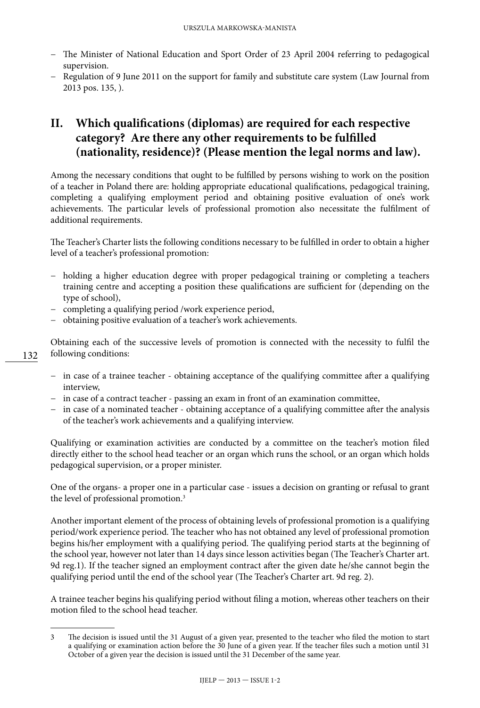- − The Minister of National Education and Sport Order of 23 April 2004 referring to pedagogical supervision.
- − Regulation of 9 June 2011 on the support for family and substitute care system (Law Journal from 2013 pos. 135, ).

## **II. Which qualifications (diplomas) are required for each respective category? Are there any other requirements to be fulfilled (nationality, residence)? (Please mention the legal norms and law).**

Among the necessary conditions that ought to be fulfilled by persons wishing to work on the position of a teacher in Poland there are: holding appropriate educational qualifications, pedagogical training, completing a qualifying employment period and obtaining positive evaluation of one's work achievements. The particular levels of professional promotion also necessitate the fulfilment of additional requirements.

The Teacher's Charter lists the following conditions necessary to be fulfilled in order to obtain a higher level of a teacher's professional promotion:

- − holding a higher education degree with proper pedagogical training or completing a teachers training centre and accepting a position these qualifications are sufficient for (depending on the type of school),
- − completing a qualifying period /work experience period,
- − obtaining positive evaluation of a teacher's work achievements.

Obtaining each of the successive levels of promotion is connected with the necessity to fulfil the following conditions:

- − in case of a trainee teacher obtaining acceptance of the qualifying committee after a qualifying interview,
- − in case of a contract teacher passing an exam in front of an examination committee,
- − in case of a nominated teacher obtaining acceptance of a qualifying committee after the analysis of the teacher's work achievements and a qualifying interview.

Qualifying or examination activities are conducted by a committee on the teacher's motion filed directly either to the school head teacher or an organ which runs the school, or an organ which holds pedagogical supervision, or a proper minister.

One of the organs- a proper one in a particular case - issues a decision on granting or refusal to grant the level of professional promotion.3

Another important element of the process of obtaining levels of professional promotion is a qualifying period/work experience period. The teacher who has not obtained any level of professional promotion begins his/her employment with a qualifying period. The qualifying period starts at the beginning of the school year, however not later than 14 days since lesson activities began (The Teacher's Charter art. 9d reg.1). If the teacher signed an employment contract after the given date he/she cannot begin the qualifying period until the end of the school year (The Teacher's Charter art. 9d reg. 2).

A trainee teacher begins his qualifying period without filing a motion, whereas other teachers on their motion filed to the school head teacher.

132

<sup>3</sup> The decision is issued until the 31 August of a given year, presented to the teacher who filed the motion to start a qualifying or examination action before the 30 June of a given year. If the teacher files such a motion until 31 October of a given year the decision is issued until the 31 December of the same year.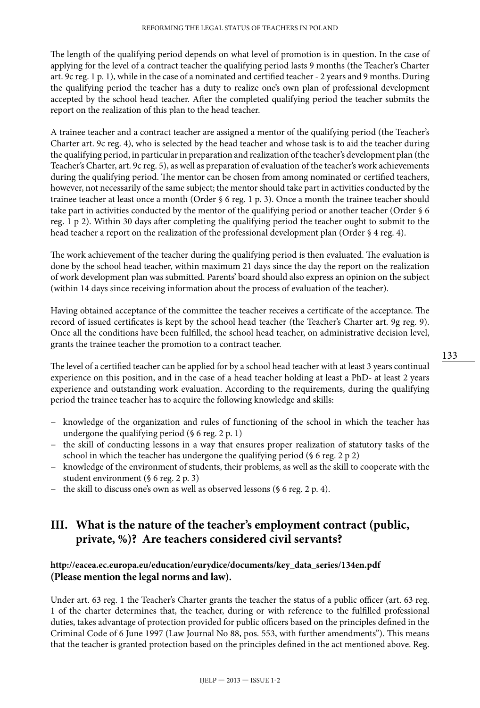The length of the qualifying period depends on what level of promotion is in question. In the case of applying for the level of a contract teacher the qualifying period lasts 9 months (the Teacher's Charter art. 9c reg. 1 p. 1), while in the case of a nominated and certified teacher - 2 years and 9 months. During the qualifying period the teacher has a duty to realize one's own plan of professional development accepted by the school head teacher. After the completed qualifying period the teacher submits the report on the realization of this plan to the head teacher.

A trainee teacher and a contract teacher are assigned a mentor of the qualifying period (the Teacher's Charter art. 9c reg. 4), who is selected by the head teacher and whose task is to aid the teacher during the qualifying period, in particular in preparation and realization of the teacher's development plan (the Teacher's Charter, art. 9c reg. 5), as well as preparation of evaluation of the teacher's work achievements during the qualifying period. The mentor can be chosen from among nominated or certified teachers, however, not necessarily of the same subject; the mentor should take part in activities conducted by the trainee teacher at least once a month (Order § 6 reg. 1 p. 3). Once a month the trainee teacher should take part in activities conducted by the mentor of the qualifying period or another teacher (Order § 6 reg. 1 p 2). Within 30 days after completing the qualifying period the teacher ought to submit to the head teacher a report on the realization of the professional development plan (Order § 4 reg. 4).

The work achievement of the teacher during the qualifying period is then evaluated. The evaluation is done by the school head teacher, within maximum 21 days since the day the report on the realization of work development plan was submitted. Parents' board should also express an opinion on the subject (within 14 days since receiving information about the process of evaluation of the teacher).

Having obtained acceptance of the committee the teacher receives a certificate of the acceptance. The record of issued certificates is kept by the school head teacher (the Teacher's Charter art. 9g reg. 9). Once all the conditions have been fulfilled, the school head teacher, on administrative decision level, grants the trainee teacher the promotion to a contract teacher.

The level of a certified teacher can be applied for by a school head teacher with at least 3 years continual experience on this position, and in the case of a head teacher holding at least a PhD- at least 2 years experience and outstanding work evaluation. According to the requirements, during the qualifying period the trainee teacher has to acquire the following knowledge and skills:

- − knowledge of the organization and rules of functioning of the school in which the teacher has undergone the qualifying period  $(\S 6$  reg. 2 p. 1)
- − the skill of conducting lessons in a way that ensures proper realization of statutory tasks of the school in which the teacher has undergone the qualifying period (§ 6 reg. 2 p 2)
- knowledge of the environment of students, their problems, as well as the skill to cooperate with the student environment (§ 6 reg. 2 p. 3)
- the skill to discuss one's own as well as observed lessons (§ 6 reg. 2 p. 4).

#### **III. What is the nature of the teacher's employment contract (public, private, %)? Are teachers considered civil servants?**

#### **[http://eacea.ec.europa.eu/education/eurydice/documents/key\\_data\\_series/134en.pdf](http://eacea.ec.europa.eu/education/eurydice/documents/key_data_series/134en.pdf) (Please mention the legal norms and law).**

Under art. 63 reg. 1 the Teacher's Charter grants the teacher the status of a public officer (art. 63 reg. 1 of the charter determines that, the teacher, during or with reference to the fulfilled professional duties, takes advantage of protection provided for public officers based on the principles defined in the Criminal Code of 6 June 1997 (Law Journal No 88, pos. 553, with further amendments"). This means that the teacher is granted protection based on the principles defined in the act mentioned above. Reg.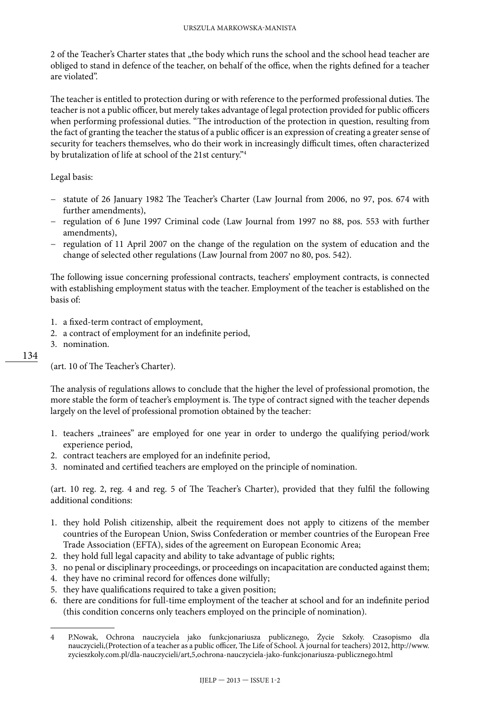2 of the Teacher's Charter states that "the body which runs the school and the school head teacher are obliged to stand in defence of the teacher, on behalf of the office, when the rights defined for a teacher are violated".

The teacher is entitled to protection during or with reference to the performed professional duties. The teacher is not a public officer, but merely takes advantage of legal protection provided for public officers when performing professional duties. "The introduction of the protection in question, resulting from the fact of granting the teacher the status of a public officer is an expression of creating a greater sense of security for teachers themselves, who do their work in increasingly difficult times, often characterized by brutalization of life at school of the 21st century."4

Legal basis:

- − statute of 26 January 1982 The Teacher's Charter (Law Journal from 2006, no 97, pos. 674 with further amendments),
- − regulation of 6 June 1997 Criminal code (Law Journal from 1997 no 88, pos. 553 with further amendments),
- − regulation of 11 April 2007 on the change of the regulation on the system of education and the change of selected other regulations (Law Journal from 2007 no 80, pos. 542).

The following issue concerning professional contracts, teachers' employment contracts, is connected with establishing employment status with the teacher. Employment of the teacher is established on the basis of:

- 1. a fixed-term contract of employment,
- 2. a contract of employment for an indefinite period,
- 3. nomination.

134

(art. 10 of The Teacher's Charter).

The analysis of regulations allows to conclude that the higher the level of professional promotion, the more stable the form of teacher's employment is. The type of contract signed with the teacher depends largely on the level of professional promotion obtained by the teacher:

- 1. teachers "trainees" are employed for one year in order to undergo the qualifying period/work experience period,
- 2. contract teachers are employed for an indefinite period,
- 3. nominated and certified teachers are employed on the principle of nomination.

(art. 10 reg. 2, reg. 4 and reg. 5 of The Teacher's Charter), provided that they fulfil the following additional conditions:

- 1. they hold Polish citizenship, albeit the requirement does not apply to citizens of the member countries of the European Union, Swiss Confederation or member countries of the European Free Trade Association (EFTA), sides of the agreement on European Economic Area;
- 2. they hold full legal capacity and ability to take advantage of public rights;
- 3. no penal or disciplinary proceedings, or proceedings on incapacitation are conducted against them;
- 4. they have no criminal record for offences done wilfully;
- 5. they have qualifications required to take a given position;
- 6. there are conditions for full-time employment of the teacher at school and for an indefinite period (this condition concerns only teachers employed on the principle of nomination).

<sup>4</sup> P.Nowak, Ochrona nauczyciela jako funkcjonariusza publicznego, Życie Szkoły. Czasopismo dla nauczycieli,(Protection of a teacher as a public officer, The Life of School. A journal for teachers) 2012, http://www. zycieszkoly.com.pl/dla-nauczycieli/art,5,ochrona-nauczyciela-jako-funkcjonariusza-publicznego.html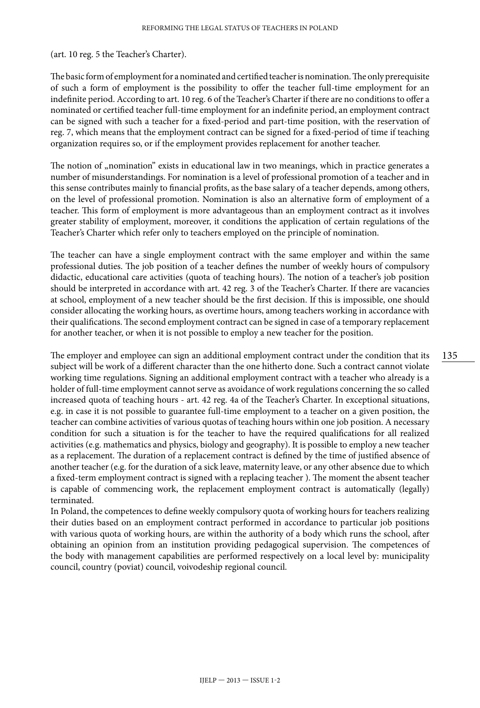(art. 10 reg. 5 the Teacher's Charter).

The basic form of employment for a nominated and certified teacher is nomination. The only prerequisite of such a form of employment is the possibility to offer the teacher full-time employment for an indefinite period. According to art. 10 reg. 6 of the Teacher's Charter if there are no conditions to offer a nominated or certified teacher full-time employment for an indefinite period, an employment contract can be signed with such a teacher for a fixed-period and part-time position, with the reservation of reg. 7, which means that the employment contract can be signed for a fixed-period of time if teaching organization requires so, or if the employment provides replacement for another teacher.

The notion of "nomination" exists in educational law in two meanings, which in practice generates a number of misunderstandings. For nomination is a level of professional promotion of a teacher and in this sense contributes mainly to financial profits, as the base salary of a teacher depends, among others, on the level of professional promotion. Nomination is also an alternative form of employment of a teacher. This form of employment is more advantageous than an employment contract as it involves greater stability of employment, moreover, it conditions the application of certain regulations of the Teacher's Charter which refer only to teachers employed on the principle of nomination.

The teacher can have a single employment contract with the same employer and within the same professional duties. The job position of a teacher defines the number of weekly hours of compulsory didactic, educational care activities (quota of teaching hours). The notion of a teacher's job position should be interpreted in accordance with art. 42 reg. 3 of the Teacher's Charter. If there are vacancies at school, employment of a new teacher should be the first decision. If this is impossible, one should consider allocating the working hours, as overtime hours, among teachers working in accordance with their qualifications. The second employment contract can be signed in case of a temporary replacement for another teacher, or when it is not possible to employ a new teacher for the position.

The employer and employee can sign an additional employment contract under the condition that its subject will be work of a different character than the one hitherto done. Such a contract cannot violate working time regulations. Signing an additional employment contract with a teacher who already is a holder of full-time employment cannot serve as avoidance of work regulations concerning the so called increased quota of teaching hours - art. 42 reg. 4a of the Teacher's Charter. In exceptional situations, e.g. in case it is not possible to guarantee full-time employment to a teacher on a given position, the teacher can combine activities of various quotas of teaching hours within one job position. A necessary condition for such a situation is for the teacher to have the required qualifications for all realized activities (e.g. mathematics and physics, biology and geography). It is possible to employ a new teacher as a replacement. The duration of a replacement contract is defined by the time of justified absence of another teacher (e.g. for the duration of a sick leave, maternity leave, or any other absence due to which a fixed-term employment contract is signed with a replacing teacher ). The moment the absent teacher is capable of commencing work, the replacement employment contract is automatically (legally) terminated.

In Poland, the competences to define weekly compulsory quota of working hours for teachers realizing their duties based on an employment contract performed in accordance to particular job positions with various quota of working hours, are within the authority of a body which runs the school, after obtaining an opinion from an institution providing pedagogical supervision. The competences of the body with management capabilities are performed respectively on a local level by: municipality council, country (poviat) council, voivodeship regional council.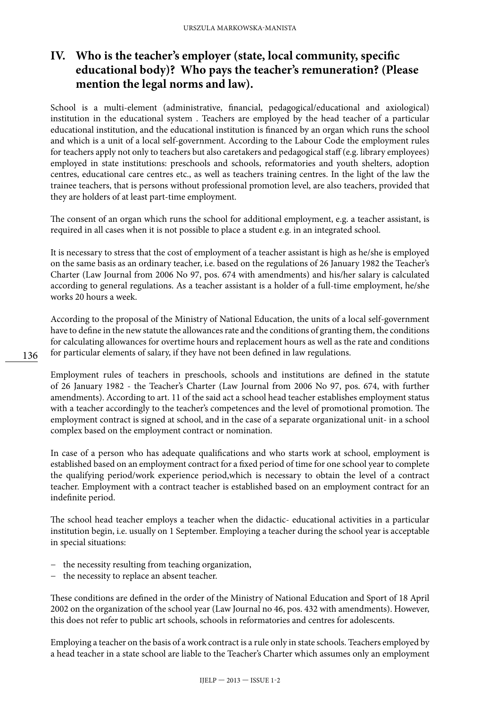## **IV. Who is the teacher's employer (state, local community, specific educational body)? Who pays the teacher's remuneration? (Please mention the legal norms and law).**

School is a multi-element (administrative, financial, pedagogical/educational and axiological) institution in the educational system . Teachers are employed by the head teacher of a particular educational institution, and the educational institution is financed by an organ which runs the school and which is a unit of a local self-government. According to the Labour Code the employment rules for teachers apply not only to teachers but also caretakers and pedagogical staff (e.g. library employees) employed in state institutions: preschools and schools, reformatories and youth shelters, adoption centres, educational care centres etc., as well as teachers training centres. In the light of the law the trainee teachers, that is persons without professional promotion level, are also teachers, provided that they are holders of at least part-time employment.

The consent of an organ which runs the school for additional employment, e.g. a teacher assistant, is required in all cases when it is not possible to place a student e.g. in an integrated school.

It is necessary to stress that the cost of employment of a teacher assistant is high as he/she is employed on the same basis as an ordinary teacher, i.e. based on the regulations of 26 January 1982 the Teacher's Charter (Law Journal from 2006 No 97, pos. 674 with amendments) and his/her salary is calculated according to general regulations. As a teacher assistant is a holder of a full-time employment, he/she works 20 hours a week.

According to the proposal of the Ministry of National Education, the units of a local self-government have to define in the new statute the allowances rate and the conditions of granting them, the conditions for calculating allowances for overtime hours and replacement hours as well as the rate and conditions for particular elements of salary, if they have not been defined in law regulations.

Employment rules of teachers in preschools, schools and institutions are defined in the statute of 26 January 1982 - the Teacher's Charter (Law Journal from 2006 No 97, pos. 674, with further amendments). According to art. 11 of the said act a school head teacher establishes employment status with a teacher accordingly to the teacher's competences and the level of promotional promotion. The employment contract is signed at school, and in the case of a separate organizational unit- in a school complex based on the employment contract or nomination.

In case of a person who has adequate qualifications and who starts work at school, employment is established based on an employment contract for a fixed period of time for one school year to complete the qualifying period/work experience period,which is necessary to obtain the level of a contract teacher. Employment with a contract teacher is established based on an employment contract for an indefinite period.

The school head teacher employs a teacher when the didactic- educational activities in a particular institution begin, i.e. usually on 1 September. Employing a teacher during the school year is acceptable in special situations:

- − the necessity resulting from teaching organization,
- − the necessity to replace an absent teacher.

These conditions are defined in the order of the Ministry of National Education and Sport of 18 April 2002 on the organization of the school year (Law Journal no 46, pos. 432 with amendments). However, this does not refer to public art schools, schools in reformatories and centres for adolescents.

Employing a teacher on the basis of a work contract is a rule only in state schools. Teachers employed by a head teacher in a state school are liable to the Teacher's Charter which assumes only an employment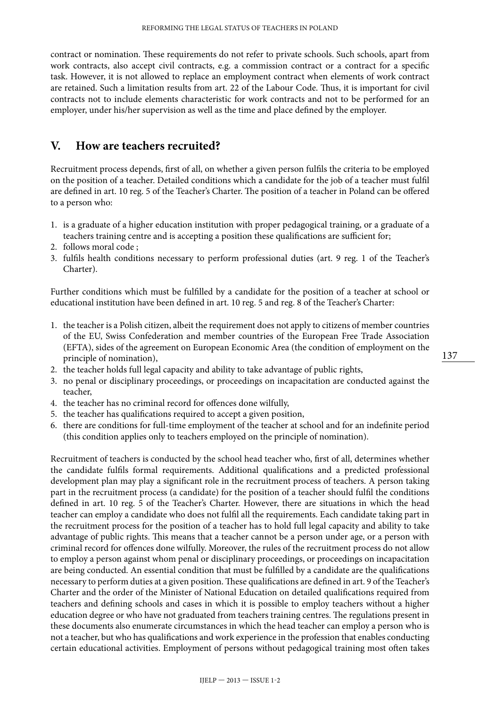contract or nomination. These requirements do not refer to private schools. Such schools, apart from work contracts, also accept civil contracts, e.g. a commission contract or a contract for a specific task. However, it is not allowed to replace an employment contract when elements of work contract are retained. Such a limitation results from art. 22 of the Labour Code. Thus, it is important for civil contracts not to include elements characteristic for work contracts and not to be performed for an employer, under his/her supervision as well as the time and place defined by the employer.

#### **V. How are teachers recruited?**

Recruitment process depends, first of all, on whether a given person fulfils the criteria to be employed on the position of a teacher. Detailed conditions which a candidate for the job of a teacher must fulfil are defined in art. 10 reg. 5 of the Teacher's Charter. The position of a teacher in Poland can be offered to a person who:

- 1. is a graduate of a higher education institution with proper pedagogical training, or a graduate of a teachers training centre and is accepting a position these qualifications are sufficient for;
- 2. follows moral code ;
- 3. fulfils health conditions necessary to perform professional duties (art. 9 reg. 1 of the Teacher's Charter).

Further conditions which must be fulfilled by a candidate for the position of a teacher at school or educational institution have been defined in art. 10 reg. 5 and reg. 8 of the Teacher's Charter:

- 1. the teacher is a Polish citizen, albeit the requirement does not apply to citizens of member countries of the EU, Swiss Confederation and member countries of the European Free Trade Association (EFTA), sides of the agreement on European Economic Area (the condition of employment on the principle of nomination),
- 2. the teacher holds full legal capacity and ability to take advantage of public rights,
- 3. no penal or disciplinary proceedings, or proceedings on incapacitation are conducted against the teacher,
- 4. the teacher has no criminal record for offences done wilfully,
- 5. the teacher has qualifications required to accept a given position,
- 6. there are conditions for full-time employment of the teacher at school and for an indefinite period (this condition applies only to teachers employed on the principle of nomination).

Recruitment of teachers is conducted by the school head teacher who, first of all, determines whether the candidate fulfils formal requirements. Additional qualifications and a predicted professional development plan may play a significant role in the recruitment process of teachers. A person taking part in the recruitment process (a candidate) for the position of a teacher should fulfil the conditions defined in art. 10 reg. 5 of the Teacher's Charter. However, there are situations in which the head teacher can employ a candidate who does not fulfil all the requirements. Each candidate taking part in the recruitment process for the position of a teacher has to hold full legal capacity and ability to take advantage of public rights. This means that a teacher cannot be a person under age, or a person with criminal record for offences done wilfully. Moreover, the rules of the recruitment process do not allow to employ a person against whom penal or disciplinary proceedings, or proceedings on incapacitation are being conducted. An essential condition that must be fulfilled by a candidate are the qualifications necessary to perform duties at a given position. These qualifications are defined in art. 9 of the Teacher's Charter and the order of the Minister of National Education on detailed qualifications required from teachers and defining schools and cases in which it is possible to employ teachers without a higher education degree or who have not graduated from teachers training centres. The regulations present in these documents also enumerate circumstances in which the head teacher can employ a person who is not a teacher, but who has qualifications and work experience in the profession that enables conducting certain educational activities. Employment of persons without pedagogical training most often takes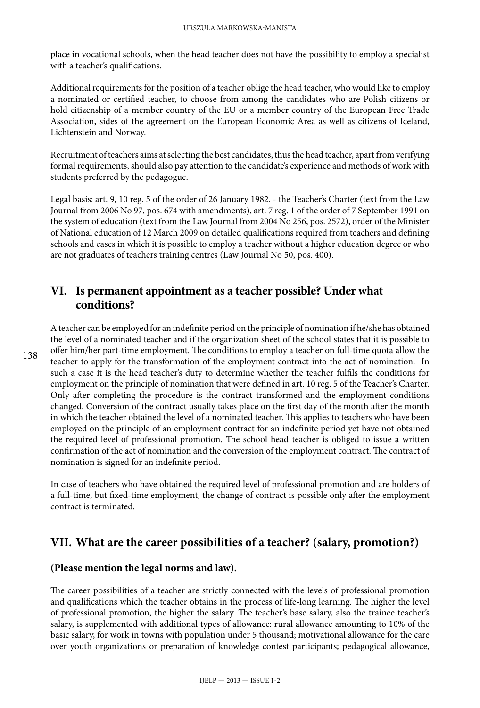place in vocational schools, when the head teacher does not have the possibility to employ a specialist with a teacher's qualifications.

Additional requirements for the position of a teacher oblige the head teacher, who would like to employ a nominated or certified teacher, to choose from among the candidates who are Polish citizens or hold citizenship of a member country of the EU or a member country of the European Free Trade Association, sides of the agreement on the European Economic Area as well as citizens of Iceland, Lichtenstein and Norway.

Recruitment of teachers aims at selecting the best candidates, thus the head teacher, apart from verifying formal requirements, should also pay attention to the candidate's experience and methods of work with students preferred by the pedagogue.

Legal basis: art. 9, 10 reg. 5 of the order of 26 January 1982. - the Teacher's Charter (text from the Law Journal from 2006 No 97, pos. 674 with amendments), art. 7 reg. 1 of the order of 7 September 1991 on the system of education (text from the Law Journal from 2004 No 256, pos. 2572), order of the Minister of National education of 12 March 2009 on detailed qualifications required from teachers and defining schools and cases in which it is possible to employ a teacher without a higher education degree or who are not graduates of teachers training centres (Law Journal No 50, pos. 400).

#### **VI. Is permanent appointment as a teacher possible? Under what conditions?**

A teacher can be employed for an indefinite period on the principle of nomination if he/she has obtained the level of a nominated teacher and if the organization sheet of the school states that it is possible to offer him/her part-time employment. The conditions to employ a teacher on full-time quota allow the teacher to apply for the transformation of the employment contract into the act of nomination. In such a case it is the head teacher's duty to determine whether the teacher fulfils the conditions for employment on the principle of nomination that were defined in art. 10 reg. 5 of the Teacher's Charter. Only after completing the procedure is the contract transformed and the employment conditions changed. Conversion of the contract usually takes place on the first day of the month after the month in which the teacher obtained the level of a nominated teacher. This applies to teachers who have been employed on the principle of an employment contract for an indefinite period yet have not obtained the required level of professional promotion. The school head teacher is obliged to issue a written confirmation of the act of nomination and the conversion of the employment contract. The contract of nomination is signed for an indefinite period.

In case of teachers who have obtained the required level of professional promotion and are holders of a full-time, but fixed-time employment, the change of contract is possible only after the employment contract is terminated.

#### **VII. What are the career possibilities of a teacher? (salary, promotion?)**

#### **(Please mention the legal norms and law).**

The career possibilities of a teacher are strictly connected with the levels of professional promotion and qualifications which the teacher obtains in the process of life-long learning. The higher the level of professional promotion, the higher the salary. The teacher's base salary, also the trainee teacher's salary, is supplemented with additional types of allowance: rural allowance amounting to 10% of the basic salary, for work in towns with population under 5 thousand; motivational allowance for the care over youth organizations or preparation of knowledge contest participants; pedagogical allowance,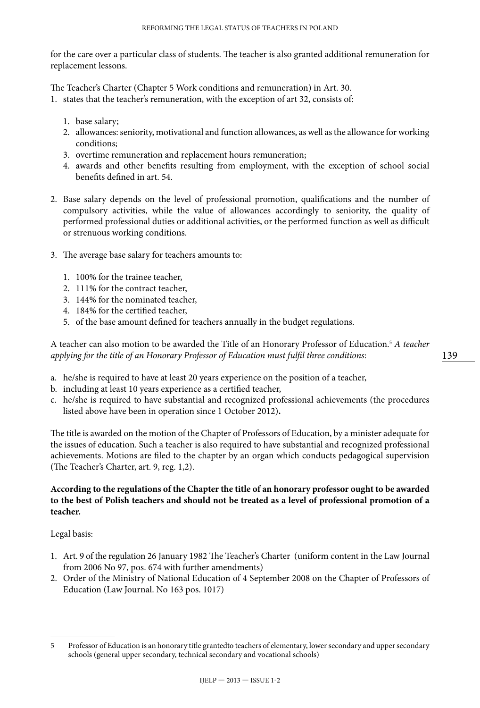for the care over a particular class of students. The teacher is also granted additional remuneration for replacement lessons.

The Teacher's Charter (Chapter 5 Work conditions and remuneration) in Art. 30.

- 1. states that the teacher's remuneration, with the exception of art 32, consists of:
	- 1. base salary;
	- 2. allowances: seniority, motivational and function allowances, as well as the allowance for working conditions;
	- 3. overtime remuneration and replacement hours remuneration;
	- 4. awards and other benefits resulting from employment, with the exception of school social benefits defined in art. 54.
- 2. Base salary depends on the level of professional promotion, qualifications and the number of compulsory activities, while the value of allowances accordingly to seniority, the quality of performed professional duties or additional activities, or the performed function as well as difficult or strenuous working conditions.
- 3. The average base salary for teachers amounts to:
	- 1. 100% for the trainee teacher,
	- 2. 111% for the contract teacher,
	- 3. 144% for the nominated teacher,
	- 4. 184% for the certified teacher,
	- 5. of the base amount defined for teachers annually in the budget regulations.

A teacher can also motion to be awarded the Title of an Honorary Professor of Education.5  *A teacher applying for the title of an Honorary Professor of Education must fulfil three conditions*:

- a. he/she is required to have at least 20 years experience on the position of a teacher,
- b. including at least 10 years experience as a certified teacher,
- c. he/she is required to have substantial and recognized professional achievements (the procedures listed above have been in operation since 1 October 2012)**.**

The title is awarded on the motion of the Chapter of Professors of Education, by a minister adequate for the issues of education. Such a teacher is also required to have substantial and recognized professional achievements. Motions are filed to the chapter by an organ which conducts pedagogical supervision (The Teacher's Charter, art. 9, reg. 1,2).

#### **According to the regulations of the Chapter the title of an honorary professor ought to be awarded to the best of Polish teachers and should not be treated as a level of professional promotion of a teacher.**

Legal basis:

- 1. Art. 9 of the regulation 26 January 1982 The Teacher's Charter (uniform content in the Law Journal from 2006 No 97, pos. 674 with further amendments)
- 2. Order of the Ministry of National Education of 4 September 2008 on the Chapter of Professors of Education (Law Journal. No 163 pos. 1017)

<sup>5</sup> Professor of Education is an honorary title grantedto teachers of elementary, lower secondary and upper secondary schools (general upper secondary, technical secondary and vocational schools)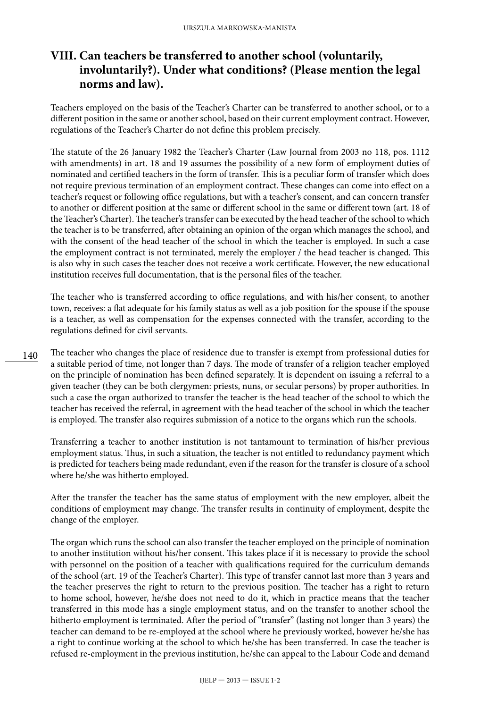## **VIII. Can teachers be transferred to another school (voluntarily, involuntarily?). Under what conditions? (Please mention the legal norms and law).**

Teachers employed on the basis of the Teacher's Charter can be transferred to another school, or to a different position in the same or another school, based on their current employment contract. However, regulations of the Teacher's Charter do not define this problem precisely.

The statute of the 26 January 1982 the Teacher's Charter (Law Journal from 2003 no 118, pos. 1112 with amendments) in art. 18 and 19 assumes the possibility of a new form of employment duties of nominated and certified teachers in the form of transfer. This is a peculiar form of transfer which does not require previous termination of an employment contract. These changes can come into effect on a teacher's request or following office regulations, but with a teacher's consent, and can concern transfer to another or different position at the same or different school in the same or different town (art. 18 of the Teacher's Charter). The teacher's transfer can be executed by the head teacher of the school to which the teacher is to be transferred, after obtaining an opinion of the organ which manages the school, and with the consent of the head teacher of the school in which the teacher is employed. In such a case the employment contract is not terminated, merely the employer / the head teacher is changed. This is also why in such cases the teacher does not receive a work certificate. However, the new educational institution receives full documentation, that is the personal files of the teacher.

The teacher who is transferred according to office regulations, and with his/her consent, to another town, receives: a flat adequate for his family status as well as a job position for the spouse if the spouse is a teacher, as well as compensation for the expenses connected with the transfer, according to the regulations defined for civil servants.

The teacher who changes the place of residence due to transfer is exempt from professional duties for a suitable period of time, not longer than 7 days. The mode of transfer of a religion teacher employed on the principle of nomination has been defined separately. It is dependent on issuing a referral to a given teacher (they can be both clergymen: priests, nuns, or secular persons) by proper authorities. In such a case the organ authorized to transfer the teacher is the head teacher of the school to which the teacher has received the referral, in agreement with the head teacher of the school in which the teacher is employed. The transfer also requires submission of a notice to the organs which run the schools.

Transferring a teacher to another institution is not tantamount to termination of his/her previous employment status. Thus, in such a situation, the teacher is not entitled to redundancy payment which is predicted for teachers being made redundant, even if the reason for the transfer is closure of a school where he/she was hitherto employed.

After the transfer the teacher has the same status of employment with the new employer, albeit the conditions of employment may change. The transfer results in continuity of employment, despite the change of the employer.

The organ which runs the school can also transfer the teacher employed on the principle of nomination to another institution without his/her consent. This takes place if it is necessary to provide the school with personnel on the position of a teacher with qualifications required for the curriculum demands of the school (art. 19 of the Teacher's Charter). This type of transfer cannot last more than 3 years and the teacher preserves the right to return to the previous position. The teacher has a right to return to home school, however, he/she does not need to do it, which in practice means that the teacher transferred in this mode has a single employment status, and on the transfer to another school the hitherto employment is terminated. After the period of "transfer" (lasting not longer than 3 years) the teacher can demand to be re-employed at the school where he previously worked, however he/she has a right to continue working at the school to which he/she has been transferred. In case the teacher is refused re-employment in the previous institution, he/she can appeal to the Labour Code and demand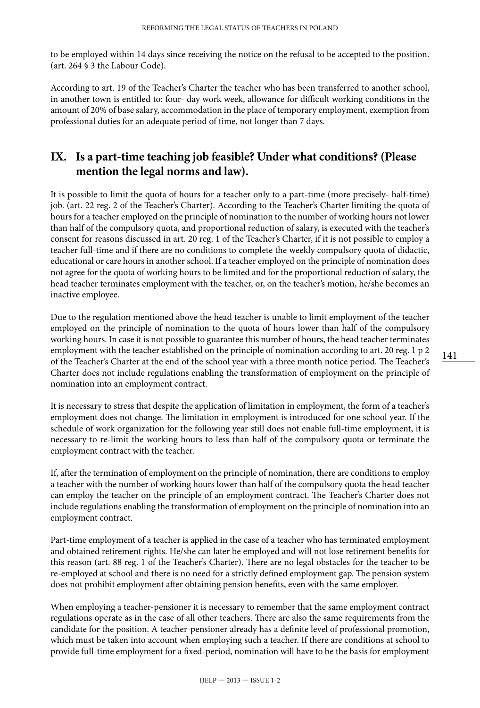to be employed within 14 days since receiving the notice on the refusal to be accepted to the position. (art. 264 § 3 the Labour Code).

According to art. 19 of the Teacher's Charter the teacher who has been transferred to another school, in another town is entitled to: four- day work week, allowance for difficult working conditions in the amount of 20% of base salary, accommodation in the place of temporary employment, exemption from professional duties for an adequate period of time, not longer than 7 days.

#### **IX. Is a part-time teaching job feasible? Under what conditions? (Please mention the legal norms and law).**

It is possible to limit the quota of hours for a teacher only to a part-time (more precisely- half-time) job. (art. 22 reg. 2 of the Teacher's Charter). According to the Teacher's Charter limiting the quota of hours for a teacher employed on the principle of nomination to the number of working hours not lower than half of the compulsory quota, and proportional reduction of salary, is executed with the teacher's consent for reasons discussed in art. 20 reg. 1 of the Teacher's Charter, if it is not possible to employ a teacher full-time and if there are no conditions to complete the weekly compulsory quota of didactic, educational or care hours in another school. If a teacher employed on the principle of nomination does not agree for the quota of working hours to be limited and for the proportional reduction of salary, the head teacher terminates employment with the teacher, or, on the teacher's motion, he/she becomes an inactive employee.

Due to the regulation mentioned above the head teacher is unable to limit employment of the teacher employed on the principle of nomination to the quota of hours lower than half of the compulsory working hours. In case it is not possible to guarantee this number of hours, the head teacher terminates employment with the teacher established on the principle of nomination according to art. 20 reg. 1 p 2 of the Teacher's Charter at the end of the school year with a three month notice period. The Teacher's Charter does not include regulations enabling the transformation of employment on the principle of nomination into an employment contract.

It is necessary to stress that despite the application of limitation in employment, the form of a teacher's employment does not change. The limitation in employment is introduced for one school year. If the schedule of work organization for the following year still does not enable full-time employment, it is necessary to re-limit the working hours to less than half of the compulsory quota or terminate the employment contract with the teacher.

If, after the termination of employment on the principle of nomination, there are conditions to employ a teacher with the number of working hours lower than half of the compulsory quota the head teacher can employ the teacher on the principle of an employment contract. The Teacher's Charter does not include regulations enabling the transformation of employment on the principle of nomination into an employment contract.

Part-time employment of a teacher is applied in the case of a teacher who has terminated employment and obtained retirement rights. He/she can later be employed and will not lose retirement benefits for this reason (art. 88 reg. 1 of the Teacher's Charter). There are no legal obstacles for the teacher to be re-employed at school and there is no need for a strictly defined employment gap. The pension system does not prohibit employment after obtaining pension benefits, even with the same employer.

When employing a teacher-pensioner it is necessary to remember that the same employment contract regulations operate as in the case of all other teachers. There are also the same requirements from the candidate for the position. A teacher-pensioner already has a definite level of professional promotion, which must be taken into account when employing such a teacher. If there are conditions at school to provide full-time employment for a fixed-period, nomination will have to be the basis for employment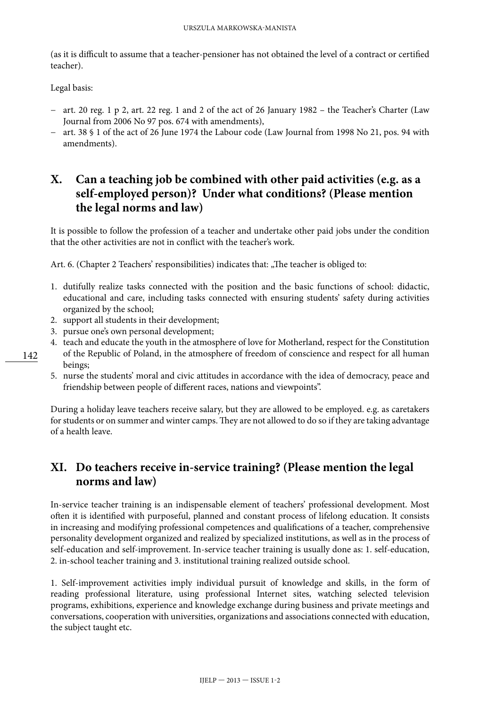(as it is difficult to assume that a teacher-pensioner has not obtained the level of a contract or certified teacher).

Legal basis:

- − art. 20 reg. 1 p 2, art. 22 reg. 1 and 2 of the act of 26 January 1982 the Teacher's Charter (Law Journal from 2006 No 97 pos. 674 with amendments),
- − art. 38 § 1 of the act of 26 June 1974 the Labour code (Law Journal from 1998 No 21, pos. 94 with amendments).

## **X. Can a teaching job be combined with other paid activities (e.g. as a self-employed person)? Under what conditions? (Please mention the legal norms and law)**

It is possible to follow the profession of a teacher and undertake other paid jobs under the condition that the other activities are not in conflict with the teacher's work.

Art. 6. (Chapter 2 Teachers' responsibilities) indicates that: "The teacher is obliged to:

- 1. dutifully realize tasks connected with the position and the basic functions of school: didactic, educational and care, including tasks connected with ensuring students' safety during activities organized by the school;
- 2. support all students in their development;
- 3. pursue one's own personal development;
- 4. teach and educate the youth in the atmosphere of love for Motherland, respect for the Constitution of the Republic of Poland, in the atmosphere of freedom of conscience and respect for all human beings;
- 5. nurse the students' moral and civic attitudes in accordance with the idea of democracy, peace and friendship between people of different races, nations and viewpoints".

During a holiday leave teachers receive salary, but they are allowed to be employed. e.g. as caretakers for students or on summer and winter camps. They are not allowed to do so if they are taking advantage of a health leave.

## **XI. Do teachers receive in-service training? (Please mention the legal norms and law)**

In-service teacher training is an indispensable element of teachers' professional development. Most often it is identified with purposeful, planned and constant process of lifelong education. It consists in increasing and modifying professional competences and qualifications of a teacher, comprehensive personality development organized and realized by specialized institutions, as well as in the process of self-education and self-improvement. In-service teacher training is usually done as: 1. self-education, 2. in-school teacher training and 3. institutional training realized outside school.

1. Self-improvement activities imply individual pursuit of knowledge and skills, in the form of reading professional literature, using professional Internet sites, watching selected television programs, exhibitions, experience and knowledge exchange during business and private meetings and conversations, cooperation with universities, organizations and associations connected with education, the subject taught etc.

142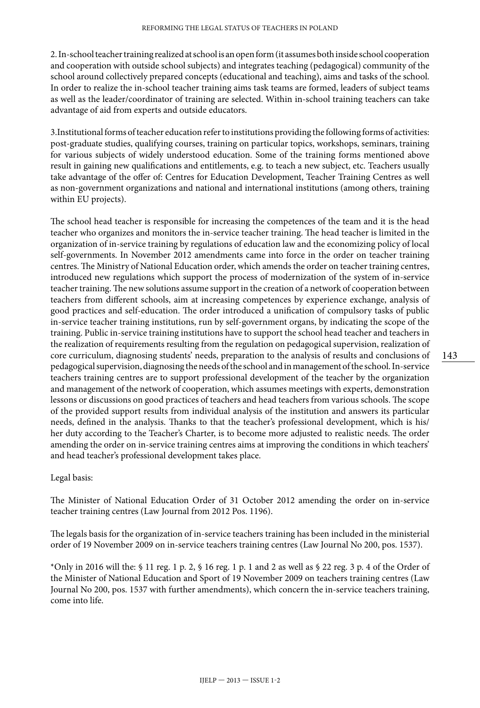2. In-school teacher training realized at school is an open form (it assumes both inside school cooperation and cooperation with outside school subjects) and integrates teaching (pedagogical) community of the school around collectively prepared concepts (educational and teaching), aims and tasks of the school. In order to realize the in-school teacher training aims task teams are formed, leaders of subject teams as well as the leader/coordinator of training are selected. Within in-school training teachers can take advantage of aid from experts and outside educators.

3.Institutional forms of teacher education refer to institutions providing the following forms of activities: post-graduate studies, qualifying courses, training on particular topics, workshops, seminars, training for various subjects of widely understood education. Some of the training forms mentioned above result in gaining new qualifications and entitlements, e.g. to teach a new subject, etc. Teachers usually take advantage of the offer of: Centres for Education Development, Teacher Training Centres as well as non-government organizations and national and international institutions (among others, training within EU projects).

The school head teacher is responsible for increasing the competences of the team and it is the head teacher who organizes and monitors the in-service teacher training. The head teacher is limited in the organization of in-service training by regulations of education law and the economizing policy of local self-governments. In November 2012 amendments came into force in the order on teacher training centres. The Ministry of National Education order, which amends the order on teacher training centres, introduced new regulations which support the process of modernization of the system of in-service teacher training. The new solutions assume support in the creation of a network of cooperation between teachers from different schools, aim at increasing competences by experience exchange, analysis of good practices and self-education. The order introduced a unification of compulsory tasks of public in-service teacher training institutions, run by self-government organs, by indicating the scope of the training. Public in-service training institutions have to support the school head teacher and teachers in the realization of requirements resulting from the regulation on pedagogical supervision, realization of core curriculum, diagnosing students' needs, preparation to the analysis of results and conclusions of pedagogical supervision, diagnosing the needs of the school and in management of the school. In-service teachers training centres are to support professional development of the teacher by the organization and management of the network of cooperation, which assumes meetings with experts, demonstration lessons or discussions on good practices of teachers and head teachers from various schools. The scope of the provided support results from individual analysis of the institution and answers its particular needs, defined in the analysis. Thanks to that the teacher's professional development, which is his/ her duty according to the Teacher's Charter, is to become more adjusted to realistic needs. The order amending the order on in-service training centres aims at improving the conditions in which teachers' and head teacher's professional development takes place.

Legal basis:

The Minister of National Education Order of 31 October 2012 amending the order on in-service teacher training centres (Law Journal from 2012 Pos. 1196).

The legals basis for the organization of in-service teachers training has been included in the ministerial order of 19 November 2009 on in-service teachers training centres (Law Journal No 200, pos. 1537).

\*Only in 2016 will the: § 11 reg. 1 p. 2, § 16 reg. 1 p. 1 and 2 as well as § 22 reg. 3 p. 4 of the Order of the Minister of National Education and Sport of 19 November 2009 on teachers training centres (Law Journal No 200, pos. 1537 with further amendments), which concern the in-service teachers training, come into life.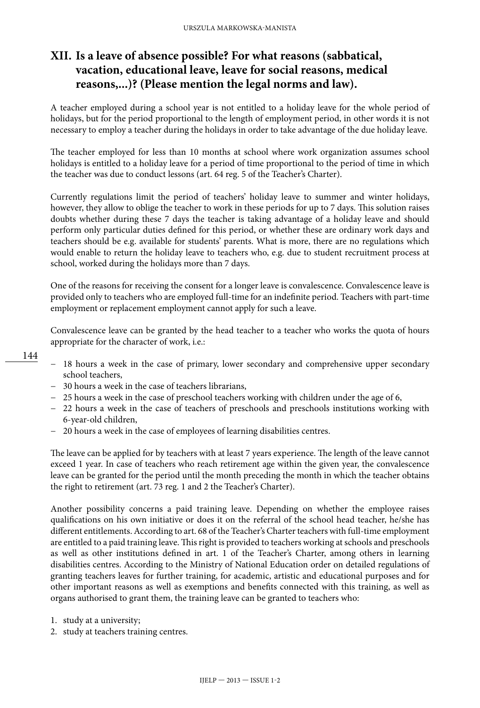## **XII. Is a leave of absence possible? For what reasons (sabbatical, vacation, educational leave, leave for social reasons, medical reasons,...)? (Please mention the legal norms and law).**

A teacher employed during a school year is not entitled to a holiday leave for the whole period of holidays, but for the period proportional to the length of employment period, in other words it is not necessary to employ a teacher during the holidays in order to take advantage of the due holiday leave.

The teacher employed for less than 10 months at school where work organization assumes school holidays is entitled to a holiday leave for a period of time proportional to the period of time in which the teacher was due to conduct lessons (art. 64 reg. 5 of the Teacher's Charter).

Currently regulations limit the period of teachers' holiday leave to summer and winter holidays, however, they allow to oblige the teacher to work in these periods for up to 7 days. This solution raises doubts whether during these 7 days the teacher is taking advantage of a holiday leave and should perform only particular duties defined for this period, or whether these are ordinary work days and teachers should be e.g. available for students' parents. What is more, there are no regulations which would enable to return the holiday leave to teachers who, e.g. due to student recruitment process at school, worked during the holidays more than 7 days.

One of the reasons for receiving the consent for a longer leave is convalescence. Convalescence leave is provided only to teachers who are employed full-time for an indefinite period. Teachers with part-time employment or replacement employment cannot apply for such a leave.

Convalescence leave can be granted by the head teacher to a teacher who works the quota of hours appropriate for the character of work, i.e.:

- 144
- − 18 hours a week in the case of primary, lower secondary and comprehensive upper secondary school teachers,
- − 30 hours a week in the case of teachers librarians,
- − 25 hours a week in the case of preschool teachers working with children under the age of 6,
- − 22 hours a week in the case of teachers of preschools and preschools institutions working with 6-year-old children,
- − 20 hours a week in the case of employees of learning disabilities centres.

The leave can be applied for by teachers with at least 7 years experience. The length of the leave cannot exceed 1 year. In case of teachers who reach retirement age within the given year, the convalescence leave can be granted for the period until the month preceding the month in which the teacher obtains the right to retirement (art. 73 reg. 1 and 2 the Teacher's Charter).

Another possibility concerns a paid training leave. Depending on whether the employee raises qualifications on his own initiative or does it on the referral of the school head teacher, he/she has different entitlements. According to art. 68 of the Teacher's Charter teachers with full-time employment are entitled to a paid training leave. This right is provided to teachers working at schools and preschools as well as other institutions defined in art. 1 of the Teacher's Charter, among others in learning disabilities centres. According to the Ministry of National Education order on detailed regulations of granting teachers leaves for further training, for academic, artistic and educational purposes and for other important reasons as well as exemptions and benefits connected with this training, as well as organs authorised to grant them, the training leave can be granted to teachers who:

- 1. study at a university;
- 2. study at teachers training centres.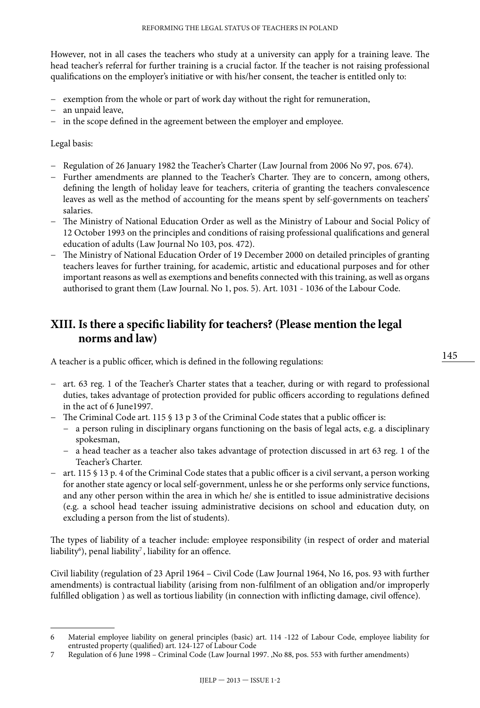However, not in all cases the teachers who study at a university can apply for a training leave. The head teacher's referral for further training is a crucial factor. If the teacher is not raising professional qualifications on the employer's initiative or with his/her consent, the teacher is entitled only to:

- − exemption from the whole or part of work day without the right for remuneration,
- − an unpaid leave,
- − in the scope defined in the agreement between the employer and employee.

Legal basis:

- − Regulation of 26 January 1982 the Teacher's Charter (Law Journal from 2006 No 97, pos. 674).
- − Further amendments are planned to the Teacher's Charter. They are to concern, among others, defining the length of holiday leave for teachers, criteria of granting the teachers convalescence leaves as well as the method of accounting for the means spent by self-governments on teachers' salaries.
- − The Ministry of National Education Order as well as the Ministry of Labour and Social Policy of 12 October 1993 on the principles and conditions of raising professional qualifications and general education of adults (Law Journal No 103, pos. 472).
- − The Ministry of National Education Order of 19 December 2000 on detailed principles of granting teachers leaves for further training, for academic, artistic and educational purposes and for other important reasons as well as exemptions and benefits connected with this training, as well as organs authorised to grant them (Law Journal. No 1, pos. 5). Art. 1031 - 1036 of the Labour Code.

#### **XIII. Is there a specific liability for teachers? (Please mention the legal norms and law)**

A teacher is a public officer, which is defined in the following regulations:

- − art. 63 reg. 1 of the Teacher's Charter states that a teacher, during or with regard to professional duties, takes advantage of protection provided for public officers according to regulations defined in the act of 6 June1997.
- − The Criminal Code art. 115 § 13 p 3 of the Criminal Code states that a public officer is:
	- − a person ruling in disciplinary organs functioning on the basis of legal acts, e.g. a disciplinary spokesman,
	- − a head teacher as a teacher also takes advantage of protection discussed in art 63 reg. 1 of the Teacher's Charter.
- − art. 115 § 13 p. 4 of the Criminal Code states that a public officer is a civil servant, a person working for another state agency or local self-government, unless he or she performs only service functions, and any other person within the area in which he/ she is entitled to issue administrative decisions (e.g. a school head teacher issuing administrative decisions on school and education duty, on excluding a person from the list of students).

The types of liability of a teacher include: employee responsibility (in respect of order and material liability $\epsilon$ ), penal liability $^7$ , liability for an offence.

Civil liability (regulation of 23 April 1964 – Civil Code (Law Journal 1964, No 16, pos. 93 with further amendments) is contractual liability (arising from non-fulfilment of an obligation and/or improperly fulfilled obligation ) as well as tortious liability (in connection with inflicting damage, civil offence).

<sup>6</sup> Material employee liability on general principles (basic) art. 114 -122 of Labour Code, employee liability for entrusted property (qualified) art. 124-127 of Labour Code

<sup>7</sup> Regulation of 6 June 1998 – Criminal Code (Law Journal 1997. ,No 88, pos. 553 with further amendments)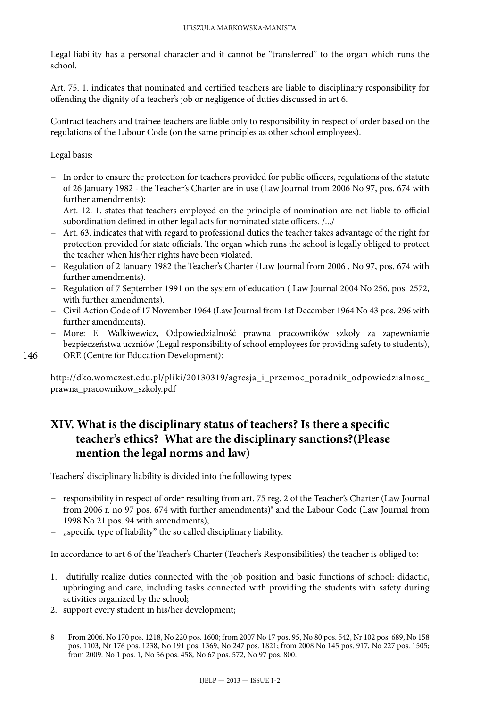Legal liability has a personal character and it cannot be "transferred" to the organ which runs the school.

Art. 75. 1. indicates that nominated and certified teachers are liable to disciplinary responsibility for offending the dignity of a teacher's job or negligence of duties discussed in art 6.

Contract teachers and trainee teachers are liable only to responsibility in respect of order based on the regulations of the Labour Code (on the same principles as other school employees).

Legal basis:

146

- − In order to ensure the protection for teachers provided for public officers, regulations of the statute of 26 January 1982 - the Teacher's Charter are in use (Law Journal from 2006 No 97, pos. 674 with further amendments):
- − Art. 12. 1. states that teachers employed on the principle of nomination are not liable to official subordination defined in other legal acts for nominated state officers. /.../
- − Art. 63. indicates that with regard to professional duties the teacher takes advantage of the right for protection provided for state officials. The organ which runs the school is legally obliged to protect the teacher when his/her rights have been violated.
- − Regulation of 2 January 1982 the Teacher's Charter (Law Journal from 2006 . No 97, pos. 674 with further amendments).
- − Regulation of 7 September 1991 on the system of education ( Law Journal 2004 No 256, pos. 2572, with further amendments).
- − Civil Action Code of 17 November 1964 (Law Journal from 1st December 1964 No 43 pos. 296 with further amendments).
- − More: E. Walkiwewicz, Odpowiedzialność prawna pracowników szkoły za zapewnianie bezpieczeństwa uczniów (Legal responsibility of school employees for providing safety to students), ORE (Centre for Education Development):

http://dko.womczest.edu.pl/pliki/20130319/agresja\_i\_przemoc\_poradnik\_odpowiedzialnosc\_ prawna\_pracownikow\_szkoly.pdf

## **XIV. What is the disciplinary status of teachers? Is there a specific teacher's ethics? What are the disciplinary sanctions?(Please mention the legal norms and law)**

Teachers' disciplinary liability is divided into the following types:

- − responsibility in respect of order resulting from art. 75 reg. 2 of the Teacher's Charter (Law Journal from 2006 r. no 97 pos. 674 with further amendments)<sup>8</sup> and the Labour Code (Law Journal from 1998 No 21 pos. 94 with amendments),
- − "specific type of liability" the so called disciplinary liability.

In accordance to art 6 of the Teacher's Charter (Teacher's Responsibilities) the teacher is obliged to:

- 1. dutifully realize duties connected with the job position and basic functions of school: didactic, upbringing and care, including tasks connected with providing the students with safety during activities organized by the school;
- 2. support every student in his/her development;

<sup>8</sup> From 2006. No 170 pos. 1218, No 220 pos. 1600; from 2007 No 17 pos. 95, No 80 pos. 542, Nr 102 pos. 689, No 158 pos. 1103, Nr 176 pos. 1238, No 191 pos. 1369, No 247 pos. 1821; from 2008 No 145 pos. 917, No 227 pos. 1505; from 2009. No 1 pos. 1, No 56 pos. 458, No 67 pos. 572, No 97 pos. 800.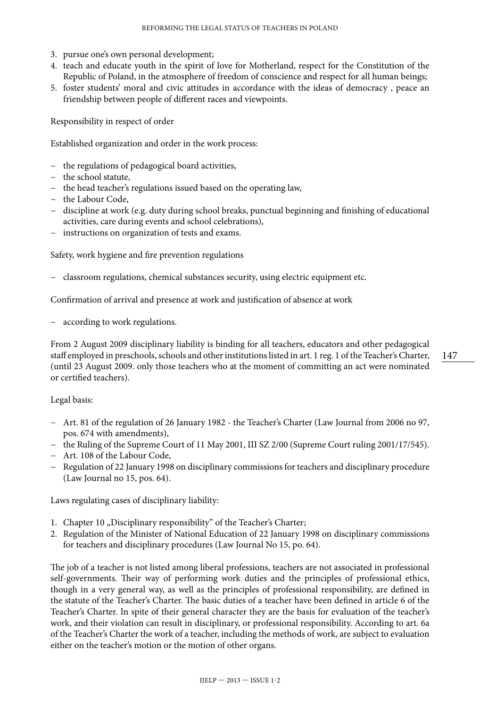- 3. pursue one's own personal development;
- 4. teach and educate youth in the spirit of love for Motherland, respect for the Constitution of the Republic of Poland, in the atmosphere of freedom of conscience and respect for all human beings;
- 5. foster students' moral and civic attitudes in accordance with the ideas of democracy , peace an friendship between people of different races and viewpoints.

Responsibility in respect of order

Established organization and order in the work process:

- − the regulations of pedagogical board activities,
- − the school statute,
- − the head teacher's regulations issued based on the operating law,
- − the Labour Code,
- − discipline at work (e.g. duty during school breaks, punctual beginning and finishing of educational activities, care during events and school celebrations),
- instructions on organization of tests and exams.

Safety, work hygiene and fire prevention regulations

− classroom regulations, chemical substances security, using electric equipment etc.

Confirmation of arrival and presence at work and justification of absence at work

according to work regulations.

From 2 August 2009 disciplinary liability is binding for all teachers, educators and other pedagogical staff employed in preschools, schools and other institutions listed in art. 1 reg. 1 of the Teacher's Charter, (until 23 August 2009. only those teachers who at the moment of committing an act were nominated or certified teachers).

#### Legal basis:

- − Art. 81 of the regulation of 26 January 1982 the Teacher's Charter (Law Journal from 2006 no 97, pos. 674 with amendments),
- − the Ruling of the Supreme Court of 11 May 2001, III SZ 2/00 (Supreme Court ruling 2001/17/545).
- − Art. 108 of the Labour Code,
- − Regulation of 22 January 1998 on disciplinary commissions for teachers and disciplinary procedure (Law Journal no 15, pos. 64).

Laws regulating cases of disciplinary liability:

- 1. Chapter 10 "Disciplinary responsibility" of the Teacher's Charter;
- 2. Regulation of the Minister of National Education of 22 January 1998 on disciplinary commissions for teachers and disciplinary procedures (Law Journal No 15, po. 64).

The job of a teacher is not listed among liberal professions, teachers are not associated in professional self-governments. Their way of performing work duties and the principles of professional ethics, though in a very general way, as well as the principles of professional responsibility, are defined in the statute of the Teacher's Charter. The basic duties of a teacher have been defined in article 6 of the Teacher's Charter. In spite of their general character they are the basis for evaluation of the teacher's work, and their violation can result in disciplinary, or professional responsibility. According to art. 6a of the Teacher's Charter the work of a teacher, including the methods of work, are subject to evaluation either on the teacher's motion or the motion of other organs.

147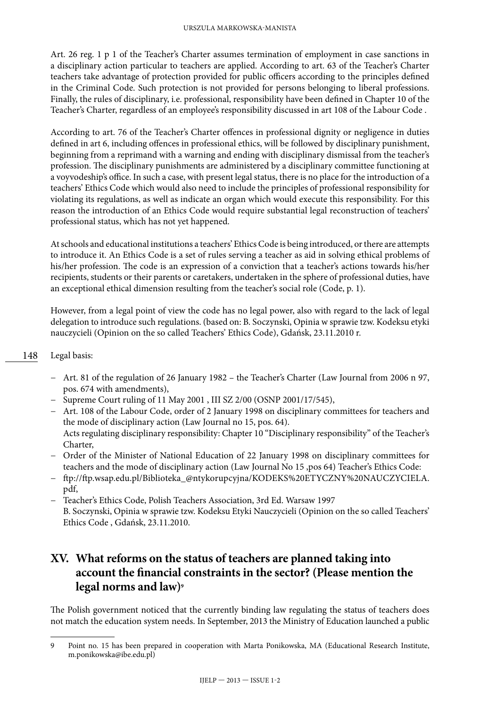Art. 26 reg. 1 p 1 of the Teacher's Charter assumes termination of employment in case sanctions in a disciplinary action particular to teachers are applied. According to art. 63 of the Teacher's Charter teachers take advantage of protection provided for public officers according to the principles defined in the Criminal Code. Such protection is not provided for persons belonging to liberal professions. Finally, the rules of disciplinary, i.e. professional, responsibility have been defined in Chapter 10 of the Teacher's Charter, regardless of an employee's responsibility discussed in art 108 of the Labour Code .

According to art. 76 of the Teacher's Charter offences in professional dignity or negligence in duties defined in art 6, including offences in professional ethics, will be followed by disciplinary punishment, beginning from a reprimand with a warning and ending with disciplinary dismissal from the teacher's profession. The disciplinary punishments are administered by a disciplinary committee functioning at a voyvodeship's office. In such a case, with present legal status, there is no place for the introduction of a teachers' Ethics Code which would also need to include the principles of professional responsibility for violating its regulations, as well as indicate an organ which would execute this responsibility. For this reason the introduction of an Ethics Code would require substantial legal reconstruction of teachers' professional status, which has not yet happened.

At schools and educational institutions a teachers' Ethics Code is being introduced, or there are attempts to introduce it. An Ethics Code is a set of rules serving a teacher as aid in solving ethical problems of his/her profession. The code is an expression of a conviction that a teacher's actions towards his/her recipients, students or their parents or caretakers, undertaken in the sphere of professional duties, have an exceptional ethical dimension resulting from the teacher's social role (Code, p. 1).

However, from a legal point of view the code has no legal power, also with regard to the lack of legal delegation to introduce such regulations. (based on: B. Soczynski, Opinia w sprawie tzw. Kodeksu etyki nauczycieli (Opinion on the so called Teachers' Ethics Code), Gdańsk, 23.11.2010 r.

#### 148 Legal basis:

- − Art. 81 of the regulation of 26 January 1982 the Teacher's Charter (Law Journal from 2006 n 97, pos. 674 with amendments),
- − Supreme Court ruling of 11 May 2001 , III SZ 2/00 (OSNP 2001/17/545),
- − Art. 108 of the Labour Code, order of 2 January 1998 on disciplinary committees for teachers and the mode of disciplinary action (Law Journal no 15, pos. 64). Acts regulating disciplinary responsibility: Chapter 10 "Disciplinary responsibility" of the Teacher's Charter,
- − Order of the Minister of National Education of 22 January 1998 on disciplinary committees for teachers and the mode of disciplinary action (Law Journal No 15 ,pos 64) Teacher's Ethics Code:
- − ftp://ftp.wsap.edu.pl/Biblioteka\_@ntykorupcyjna/KODEKS%20ETYCZNY%20NAUCZYCIELA. pdf,
- − Teacher's Ethics Code, Polish Teachers Association, 3rd Ed. Warsaw 1997 B. Soczynski, Opinia w sprawie tzw. Kodeksu Etyki Nauczycieli (Opinion on the so called Teachers' Ethics Code , Gdańsk, 23.11.2010.

## **XV. What reforms on the status of teachers are planned taking into account the financial constraints in the sector? (Please mention the legal norms and law)9**

The Polish government noticed that the currently binding law regulating the status of teachers does not match the education system needs. In September, 2013 the Ministry of Education launched a public

<sup>9</sup> Point no. 15 has been prepared in cooperation with Marta Ponikowska, MA (Educational Research Institute, [m.ponikowska@ibe.edu.pl](mailto:m.ponikowska@ibe.edu.pl))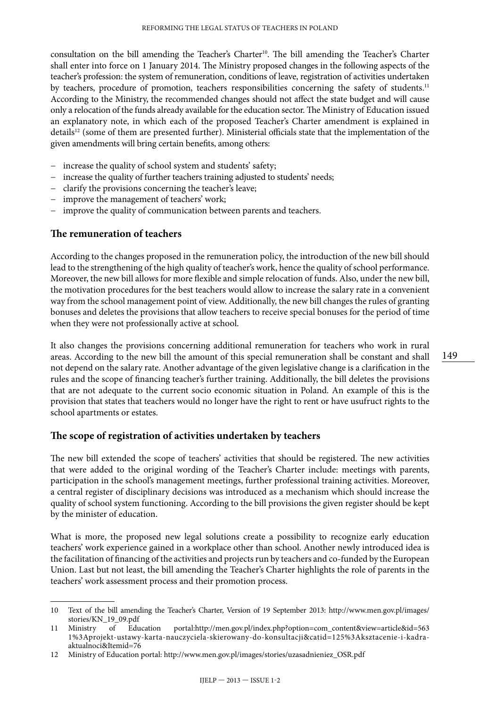consultation on the bill amending the Teacher's Charter<sup>10</sup>. The bill amending the Teacher's Charter shall enter into force on 1 January 2014. The Ministry proposed changes in the following aspects of the teacher's profession: the system of remuneration, conditions of leave, registration of activities undertaken by teachers, procedure of promotion, teachers responsibilities concerning the safety of students.<sup>11</sup> According to the Ministry, the recommended changes should not affect the state budget and will cause only a relocation of the funds already available for the education sector. The Ministry of Education issued an explanatory note, in which each of the proposed Teacher's Charter amendment is explained in details<sup>12</sup> (some of them are presented further). Ministerial officials state that the implementation of the given amendments will bring certain benefits, among others:

- − increase the quality of school system and students' safety;
- − increase the quality of further teachers training adjusted to students' needs;
- − clarify the provisions concerning the teacher's leave;
- − improve the management of teachers' work;
- − improve the quality of communication between parents and teachers.

#### **The remuneration of teachers**

According to the changes proposed in the remuneration policy, the introduction of the new bill should lead to the strengthening of the high quality of teacher's work, hence the quality of school performance. Moreover, the new bill allows for more flexible and simple relocation of funds. Also, under the new bill, the motivation procedures for the best teachers would allow to increase the salary rate in a convenient way from the school management point of view. Additionally, the new bill changes the rules of granting bonuses and deletes the provisions that allow teachers to receive special bonuses for the period of time when they were not professionally active at school.

It also changes the provisions concerning additional remuneration for teachers who work in rural areas. According to the new bill the amount of this special remuneration shall be constant and shall not depend on the salary rate. Another advantage of the given legislative change is a clarification in the rules and the scope of financing teacher's further training. Additionally, the bill deletes the provisions that are not adequate to the current socio economic situation in Poland. An example of this is the provision that states that teachers would no longer have the right to rent or have usufruct rights to the school apartments or estates.

#### **The scope of registration of activities undertaken by teachers**

The new bill extended the scope of teachers' activities that should be registered. The new activities that were added to the original wording of the Teacher's Charter include: meetings with parents, participation in the school's management meetings, further professional training activities. Moreover, a central register of disciplinary decisions was introduced as a mechanism which should increase the quality of school system functioning. According to the bill provisions the given register should be kept by the minister of education.

What is more, the proposed new legal solutions create a possibility to recognize early education teachers' work experience gained in a workplace other than school. Another newly introduced idea is the facilitation of financing of the activities and projects run by teachers and co-funded by the European Union. Last but not least, the bill amending the Teacher's Charter highlights the role of parents in the teachers' work assessment process and their promotion process.

<sup>10</sup> Text of the bill amending the Teacher's Charter, Version of 19 September 2013: http://www.men.gov.pl/images/ stories/KN\_19\_09.pdf<br>Ministry of Education

<sup>11</sup> Ministry of Education portal:[http://men.gov.pl/index.php?option=com\\_content&view=article&id=563](http://men.gov.pl/index.php?option=com_content&view=article&id=5631%3Aprojekt-ustawy-karta-nauczyciela-skierowany-do-konsultacji&catid=125%3Aksztacenie-i-kadra-aktualnoci&Itemid=76) [1%3Aprojekt-ustawy-karta-nauczyciela-skierowany-do-konsultacji&catid=125%3Aksztacenie-i-kadra](http://men.gov.pl/index.php?option=com_content&view=article&id=5631%3Aprojekt-ustawy-karta-nauczyciela-skierowany-do-konsultacji&catid=125%3Aksztacenie-i-kadra-aktualnoci&Itemid=76)[aktualnoci&Itemid=76](http://men.gov.pl/index.php?option=com_content&view=article&id=5631%3Aprojekt-ustawy-karta-nauczyciela-skierowany-do-konsultacji&catid=125%3Aksztacenie-i-kadra-aktualnoci&Itemid=76)

<sup>12</sup> Ministry of Education portal: http://www.men.gov.pl/images/stories/uzasadnieniez\_OSR.pdf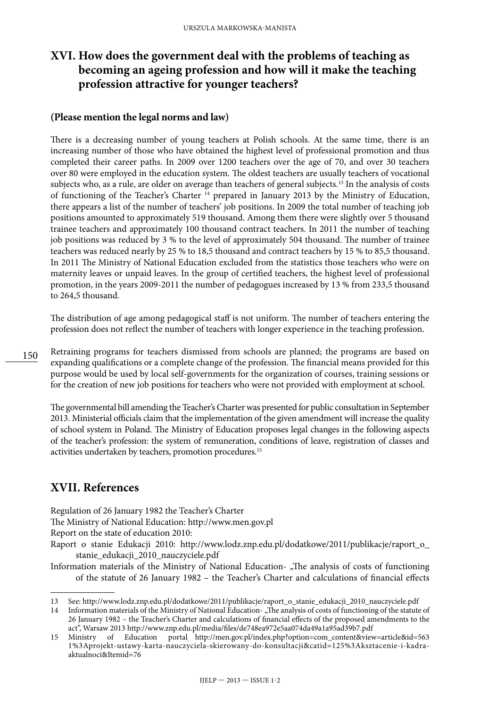## **XVI. How does the government deal with the problems of teaching as becoming an ageing profession and how will it make the teaching profession attractive for younger teachers?**

#### **(Please mention the legal norms and law)**

There is a decreasing number of young teachers at Polish schools. At the same time, there is an increasing number of those who have obtained the highest level of professional promotion and thus completed their career paths. In 2009 over 1200 teachers over the age of 70, and over 30 teachers over 80 were employed in the education system. The oldest teachers are usually teachers of vocational subjects who, as a rule, are older on average than teachers of general subjects.13 In the analysis of costs of functioning of the Teacher's Charter <sup>14</sup> prepared in January 2013 by the Ministry of Education, there appears a list of the number of teachers' job positions. In 2009 the total number of teaching job positions amounted to approximately 519 thousand. Among them there were slightly over 5 thousand trainee teachers and approximately 100 thousand contract teachers. In 2011 the number of teaching job positions was reduced by 3 % to the level of approximately 504 thousand. The number of trainee teachers was reduced nearly by 25 % to 18,5 thousand and contract teachers by 15 % to 85,5 thousand. In 2011 The Ministry of National Education excluded from the statistics those teachers who were on maternity leaves or unpaid leaves. In the group of certified teachers, the highest level of professional promotion, in the years 2009-2011 the number of pedagogues increased by 13 % from 233,5 thousand to 264,5 thousand.

The distribution of age among pedagogical staff is not uniform. The number of teachers entering the profession does not reflect the number of teachers with longer experience in the teaching profession.

150 Retraining programs for teachers dismissed from schools are planned; the programs are based on expanding qualifications or a complete change of the profession. The financial means provided for this purpose would be used by local self-governments for the organization of courses, training sessions or for the creation of new job positions for teachers who were not provided with employment at school.

The governmental bill amending the Teacher's Charter was presented for public consultation in September 2013. Ministerial officials claim that the implementation of the given amendment will increase the quality of school system in Poland. The Ministry of Education proposes legal changes in the following aspects of the teacher's profession: the system of remuneration, conditions of leave, registration of classes and activities undertaken by teachers, promotion procedures.15

## **XVII. References**

Regulation of 26 January 1982 the Teacher's Charter

The Ministry of National Education: http://www.men.gov.pl

Report on the state of education 2010:

Raport o stanie Edukacji 2010: http://www.lodz.znp.edu.pl/dodatkowe/2011/publikacje/raport\_o\_ stanie\_edukacji\_2010\_nauczyciele.pdf

Information materials of the Ministry of National Education- "The analysis of costs of functioning of the statute of 26 January 1982 – the Teacher's Charter and calculations of financial effects

<sup>13</sup> See: http://www.lodz.znp.edu.pl/dodatkowe/2011/publikacje/raport\_o\_stanie\_edukacji\_2010\_nauczyciele.pdf

<sup>14</sup> Information materials of the Ministry of National Education- "The analysis of costs of functioning of the statute of 26 January 1982 – the Teacher's Charter and calculations of financial effects of the proposed amendments to the act", Warsaw 2013 http://www.znp.edu.pl/media/files/de748ea972e5aa074da49a1a95ad39b7.pdf

<sup>15</sup> Ministry of Education portal: [http://men.gov.pl/index.php?option=com\\_content&view=article&id=563](http://men.gov.pl/index.php?option=com_content&view=article&id=5631%3Aprojekt-ustawy-karta-nauczyciela-skierowany-do-konsultacji&catid=125%3Aksztacenie-i-kadra-aktualnoci&Itemid=76) [1%3Aprojekt-ustawy-karta-nauczyciela-skierowany-do-konsultacji&catid=125%3Aksztacenie-i-kadra](http://men.gov.pl/index.php?option=com_content&view=article&id=5631%3Aprojekt-ustawy-karta-nauczyciela-skierowany-do-konsultacji&catid=125%3Aksztacenie-i-kadra-aktualnoci&Itemid=76)[aktualnoci&Itemid=76](http://men.gov.pl/index.php?option=com_content&view=article&id=5631%3Aprojekt-ustawy-karta-nauczyciela-skierowany-do-konsultacji&catid=125%3Aksztacenie-i-kadra-aktualnoci&Itemid=76)